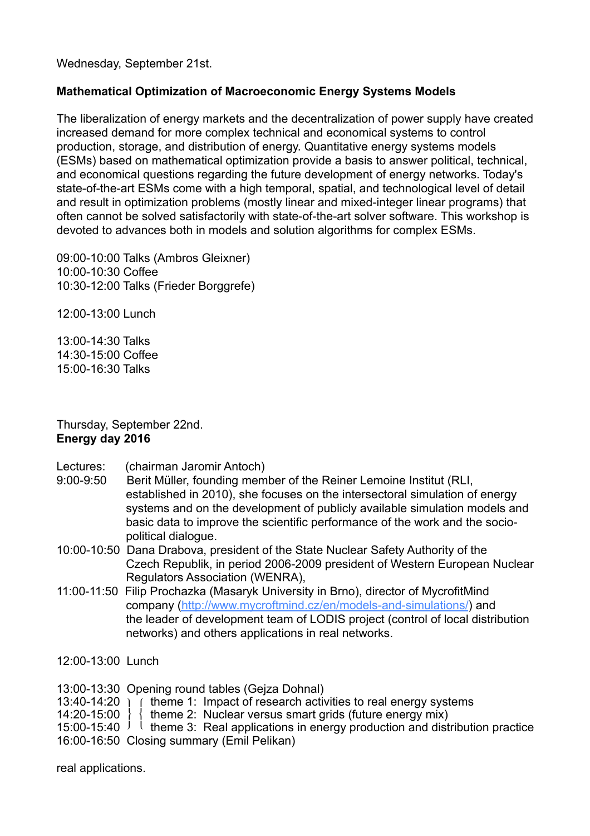Wednesday, September 21st.

## **Mathematical Optimization of Macroeconomic Energy Systems Models**

The liberalization of energy markets and the decentralization of power supply have created increased demand for more complex technical and economical systems to control production, storage, and distribution of energy. Quantitative energy systems models (ESMs) based on mathematical optimization provide a basis to answer political, technical, and economical questions regarding the future development of energy networks. Today's state-of-the-art ESMs come with a high temporal, spatial, and technological level of detail and result in optimization problems (mostly linear and mixed-integer linear programs) that often cannot be solved satisfactorily with state-of-the-art solver software. This workshop is devoted to advances both in models and solution algorithms for complex ESMs.

09:00-10:00 Talks (Ambros Gleixner) 10:00-10:30 Coffee 10:30-12:00 Talks (Frieder Borggrefe)

12:00-13:00 Lunch

13:00-14:30 Talks 14:30-15:00 Coffee 15:00-16:30 Talks

Thursday, September 22nd. **Energy day 2016**

- Lectures: (chairman Jaromir Antoch)
- 9:00-9:50 Berit Müller, founding member of the Reiner Lemoine Institut (RLI, established in 2010), she focuses on the intersectoral simulation of energy systems and on the development of publicly available simulation models and basic data to improve the scientific performance of the work and the socio political dialogue.
- 10:00-10:50 Dana Drabova, president of the State Nuclear Safety Authority of the Czech Republik, in period 2006-2009 president of Western European Nuclear Regulators Association (WENRA),
- 11:00-11:50 Filip Prochazka (Masaryk University in Brno), director of MycrofitMind company [\(http://www.mycroftmind.cz/en/models-and-simulations/](http://www.mycroftmind.cz/en/models-and-simulations/)) and the leader of development team of LODIS project (control of local distribution networks) and others applications in real networks.
- 12:00-13:00 Lunch

13:00-13:30 Opening round tables (Gejza Dohnal)

13:40-14:20  $\frac{1}{1}$  theme 1: Impact of research activities to real energy systems<br>14:20-15:00  $\frac{1}{1}$  theme 2: Nuclear versus smart grids (future energy mix)

 $\{$  theme 2: Nuclear versus smart grids (future energy mix)

15:00-15:40  $\frac{1}{2}$  theme 3: Real applications in energy production and distribution practice

16:00-16:50 Closing summary (Emil Pelikan)

real applications.